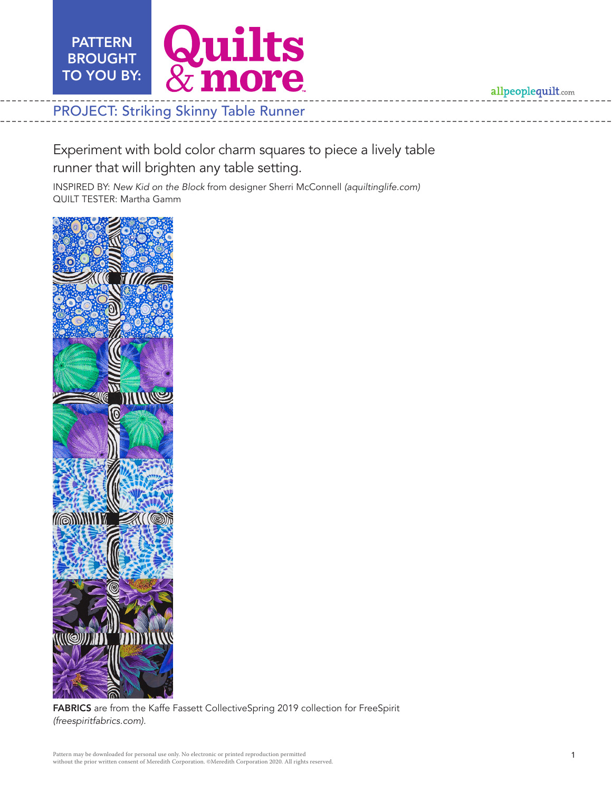

allpeoplequilt.com

Experiment with bold color charm squares to piece a lively table runner that will brighten any table setting.

INSPIRED BY: *New Kid on the Block* from designer Sherri McConnell *(aquiltinglife.com)* QUILT TESTER: Martha Gamm



FABRICS are from the Kaffe Fassett CollectiveSpring 2019 collection for FreeSpirit *(freespiritfabrics.com).*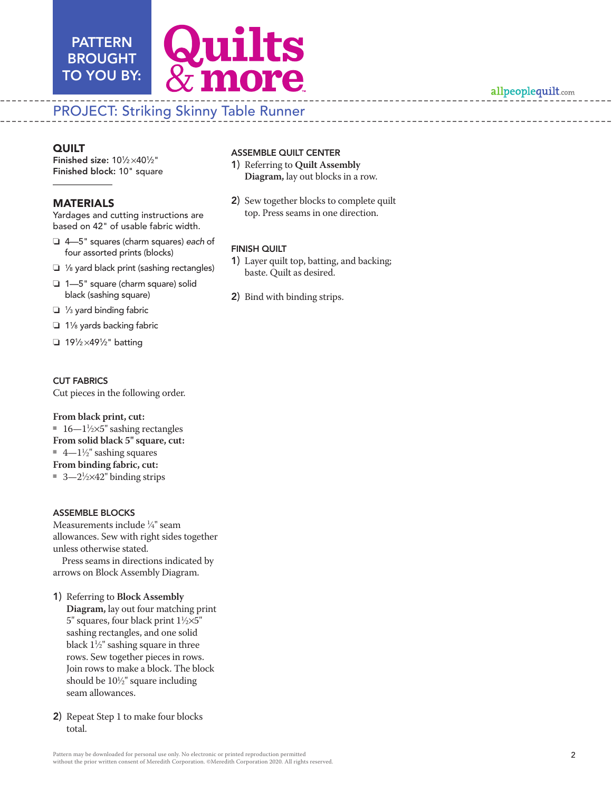

## allpeoplequilt.com

# PROJECT: Striking Skinny Table Runner

## **QUILT**

Finished size: 101/2×401/2" Finished block: 10" square

PATTERN

### MATERIALS

Yardages and cutting instructions are based on 42" of usable fabric width.

- o 4—5" squares (charm squares) *each* of four assorted prints (blocks)
- $\Box$  1/8 yard black print (sashing rectangles)
- $\Box$  1-5" square (charm square) solid black (sashing square)
- $\Box$  1/<sub>3</sub> yard binding fabric
- $\Box$  1% yards backing fabric
- $\Box$  191/2×491/2" batting

#### CUT FABRICS

Cut pieces in the following order.

#### **From black print, cut:**

- 16—1½ $\times$ 5" sashing rectangles
- **From solid black 5" square, cut:**
- $\quad$  4— $1\frac{1}{2}$ " sashing squares
- **From binding fabric, cut:**
- 3—2<sup>1</sup>/2×42" binding strips

#### ASSEMBLE BLOCKS

Measurements include 1 ⁄4" seam allowances. Sew with right sides together unless otherwise stated.

Press seams in directions indicated by arrows on Block Assembly Diagram.

- 1) Referring to **Block Assembly Diagram,** lay out four matching print 5" squares, four black print  $1\frac{1}{2} \times 5$ " sashing rectangles, and one solid black  $1\frac{1}{2}$ " sashing square in three rows. Sew together pieces in rows. Join rows to make a block. The block should be 101 ⁄2" square including seam allowances.
- 2) Repeat Step 1 to make four blocks total.
- 1) Referring to **Quilt Assembly Diagram,** lay out blocks in a row.
- 2) Sew together blocks to complete quilt top. Press seams in one direction.

#### FINISH QUILT

- 1) Layer quilt top, batting, and backing; baste. Quilt as desired.
- 2) Bind with binding strips.